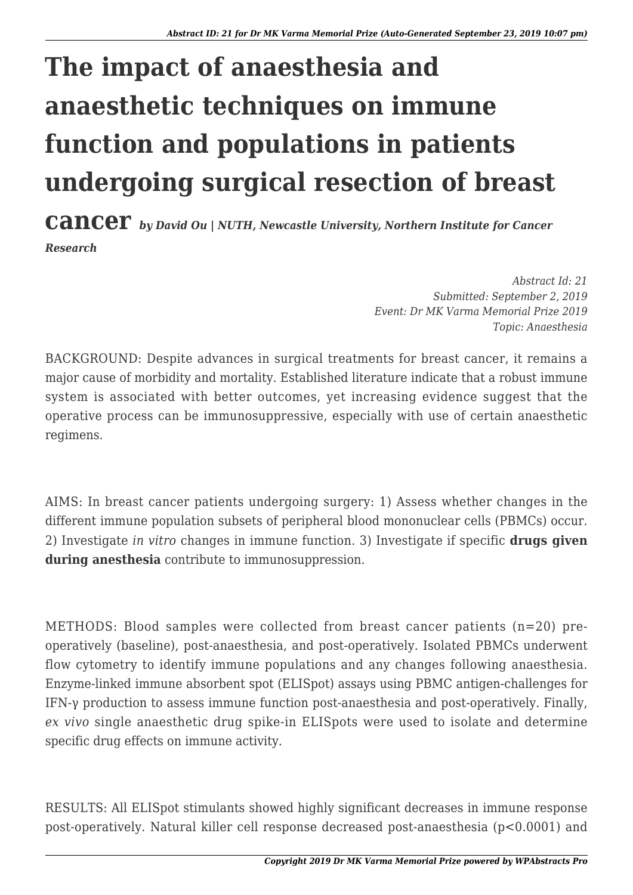## **The impact of anaesthesia and anaesthetic techniques on immune function and populations in patients undergoing surgical resection of breast**

**cancer** *by David Ou | NUTH, Newcastle University, Northern Institute for Cancer Research*

> *Abstract Id: 21 Submitted: September 2, 2019 Event: Dr MK Varma Memorial Prize 2019 Topic: Anaesthesia*

BACKGROUND: Despite advances in surgical treatments for breast cancer, it remains a major cause of morbidity and mortality. Established literature indicate that a robust immune system is associated with better outcomes, yet increasing evidence suggest that the operative process can be immunosuppressive, especially with use of certain anaesthetic regimens.

AIMS: In breast cancer patients undergoing surgery: 1) Assess whether changes in the different immune population subsets of peripheral blood mononuclear cells (PBMCs) occur. 2) Investigate *in vitro* changes in immune function. 3) Investigate if specific **drugs given during anesthesia** contribute to immunosuppression.

METHODS: Blood samples were collected from breast cancer patients (n=20) preoperatively (baseline), post-anaesthesia, and post-operatively. Isolated PBMCs underwent flow cytometry to identify immune populations and any changes following anaesthesia. Enzyme-linked immune absorbent spot (ELISpot) assays using PBMC antigen-challenges for IFN-γ production to assess immune function post-anaesthesia and post-operatively. Finally, *ex vivo* single anaesthetic drug spike-in ELISpots were used to isolate and determine specific drug effects on immune activity.

RESULTS: All ELISpot stimulants showed highly significant decreases in immune response post-operatively. Natural killer cell response decreased post-anaesthesia (p<0.0001) and